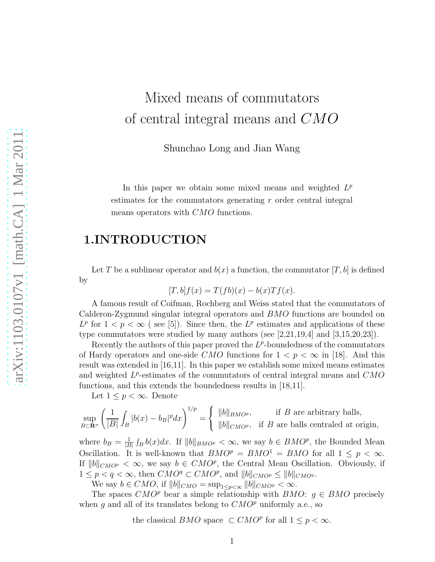## Mixed means of commutators of central integral means and CMO

Shunchao Long and Jian Wang

In this paper we obtain some mixed means and weighted  $L^p$ estimates for the commutators generating r order central integral means operators with CMO functions.

## 1.INTRODUCTION

Let T be a sublinear operator and  $b(x)$  a function, the commutator  $[T, b]$  is defined by

$$
[T, b]f(x) = T(fb)(x) - b(x)Tf(x).
$$

A famous result of Coifman, Rochberg and Weiss stated that the commutators of Calderon-Zygmund singular integral operators and BMO functions are bounded on  $L^p$  for  $1 < p < \infty$  (see [5]). Since then, the  $L^p$  estimates and applications of these type commutators were studied by many authors (see [2,21,19,4] and [3,15,20,23]).

Recently the authors of this paper proved the  $L^p$ -boundedness of the commutators of Hardy operators and one-side CMO functions for  $1 < p < \infty$  in [18]. And this result was extended in [16,11]. In this paper we establish some mixed means estimates and weighted  $L^p$ -estimates of the commutators of central integral means and  $CMO$ functions, and this extends the boundedness results in [18,11].

Let  $1 \leq p < \infty$ . Denote

$$
\sup_{B \subset \mathbf{R}^n} \left( \frac{1}{|B|} \int_B |b(x) - b_B|^p dx \right)^{1/p} = \begin{cases} ||b||_{BMO^p}, & \text{if } B \text{ are arbitrary balls,} \\ ||b||_{CMO^p}, & \text{if } B \text{ are balls centrelated at origin,} \end{cases}
$$

where  $b_B = \frac{1}{|B|}$  $\frac{1}{|B|} \int_B b(x) dx$ . If  $||b||_{BMOP} < \infty$ , we say  $b \in BMOP$ , the Bounded Mean Oscillation. It is well-known that  $BMO^p = BMO^1 = BMO$  for all  $1 \leq p < \infty$ . If  $||b||_{CMO^p} < \infty$ , we say  $b \in CMO^p$ , the Central Mean Oscillation. Obviously, if  $1 \leq p < q < \infty$ , then  $CMO^q \subset CMO^p$ , and  $||b||_{CMO^p} \leq ||b||_{CMO^q}$ .

We say  $b \in CMO$ , if  $||b||_{CMO} = \sup_{1 \le p \le \infty} ||b||_{CMO^p} < \infty$ .

The spaces  $CMO<sup>p</sup>$  bear a simple relationship with BMO:  $g \in BMO$  precisely when g and all of its translates belong to  $CMO<sup>p</sup>$  uniformly a.e., so

the classical  $BMO$  space  $\subset CMO^p$  for all  $1 \leq p < \infty$ .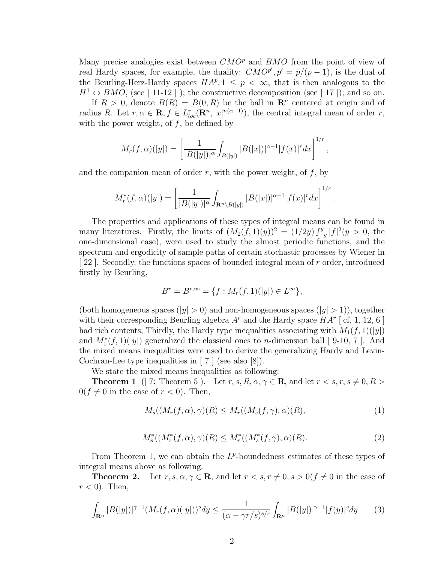Many precise analogies exist between  $CMO<sup>p</sup>$  and  $BMO$  from the point of view of real Hardy spaces, for example, the duality:  $CMO^{p'}$ ,  $p' = p/(p-1)$ , is the dual of the Beurling-Herz-Hardy spaces  $HA^p, 1 \leq p < \infty$ , that is then analogous to the  $H^1 \leftrightarrow BMO$ , (see [ 11-12 ]); the constructive decomposition (see [ 17 ]); and so on.

If  $R > 0$ , denote  $B(R) = B(0, R)$  be the ball in  $\mathbb{R}^n$  centered at origin and of radius R. Let  $r, \alpha \in \mathbf{R}, f \in L_{loc}^r(\mathbf{R}^n, |x|^{n(\alpha-1)})$ , the central integral mean of order r, with the power weight, of  $f$ , be defined by

$$
M_r(f,\alpha)(|y|) = \left[\frac{1}{|B(|y|)|^{\alpha}} \int_{B(|y|)} |B(|x|)|^{\alpha-1} |f(x)|^r dx\right]^{1/r},
$$

and the companion mean of order  $r$ , with the power weight, of  $f$ , by

$$
M_r^*(f, \alpha)(|y|) = \left[\frac{1}{|B(|y|)|^{\alpha}} \int_{\mathbf{R}^n \setminus B(|y|)} |B(|x|)|^{\alpha-1} |f(x)|^r dx\right]^{1/r}
$$

.

The properties and applications of these types of integral means can be found in many literatures. Firstly, the limits of  $(M_2(f,1)(y))^2 = (1/2y) \int_{-y}^{y} |f|^2(y > 0,$  the one-dimensional case), were used to study the almost periodic functions, and the spectrum and ergodicity of sample paths of certain stochastic processes by Wiener in [ 22 ]. Secondly, the functions spaces of bounded integral mean of r order, introduced firstly by Beurling,

$$
B^r = B^{r,\infty} = \{ f : M_r(f,1)(|y|) \in L^{\infty} \},\
$$

(both homogeneous spaces ( $|y| > 0$ ) and non-homogeneous spaces ( $|y| > 1$ )), together with their corresponding Beurling algebra  $A<sup>r</sup>$  and the Hardy space  $HA<sup>r</sup>$  [cf, 1, 12, 6] had rich contents; Thirdly, the Hardy type inequalities associating with  $M_1(f, 1)(|y|)$ and  $M_1^*(f,1)(|y|)$  generalized the classical ones to *n*-dimension ball [ 9-10, 7 ]. And the mixed means inequalities were used to derive the generalizing Hardy and Levin-Cochran-Lee type inequalities in  $\mid 7 \mid$  (see also  $\mid 8 \mid$ ).

We state the mixed means inequalities as following:

**Theorem 1** ([7: Theorem 5]). Let  $r, s, R, \alpha, \gamma \in \mathbf{R}$ , and let  $r < s, r, s \neq 0, R >$  $0(f \neq 0$  in the case of  $r < 0$ ). Then,

$$
M_s((M_r(f,\alpha),\gamma)(R) \le M_r((M_s(f,\gamma),\alpha)(R),\tag{1}
$$

$$
M_s^*((M_r^*(f,\alpha),\gamma)(R) \le M_r^*((M_s^*(f,\gamma),\alpha)(R). \tag{2}
$$

From Theorem 1, we can obtain the  $L^p$ -boundedness estimates of these types of integral means above as following.

**Theorem 2.** Let  $r, s, \alpha, \gamma \in \mathbb{R}$ , and let  $r < s, r \neq 0, s > 0$   $(f \neq 0$  in the case of  $r < 0$ ). Then,

$$
\int_{\mathbf{R}^n} |B(|y|)|^{\gamma - 1} (M_r(f, \alpha)(|y|))^s dy \le \frac{1}{(\alpha - \gamma r/s)^{s/r}} \int_{\mathbf{R}^n} |B(|y|)|^{\gamma - 1} |f(y)|^s dy \qquad (3)
$$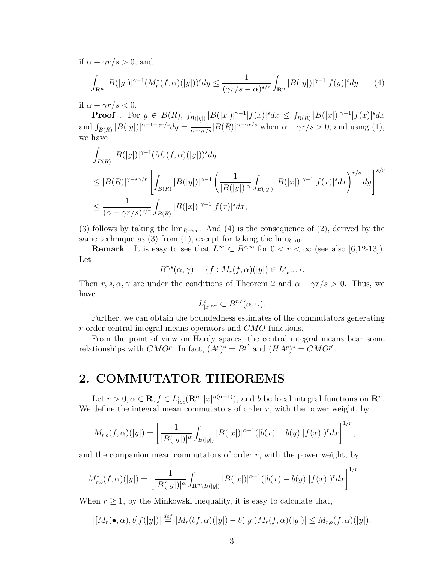if  $\alpha - \gamma r/s > 0$ , and

$$
\int_{\mathbf{R}^n} |B(|y|)|^{\gamma - 1} (M_r^*(f, \alpha)(|y|))^s dy \le \frac{1}{(\gamma r/s - \alpha)^{s/r}} \int_{\mathbf{R}^n} |B(|y|)|^{\gamma - 1} |f(y)|^s dy \tag{4}
$$

if  $\alpha - \gamma r/s < 0$ .

**Proof** . For  $y \in B(R)$ ,  $\int_{B(|y|)} |B(|x|)|^{\gamma-1} |f(x)|^s dx \leq \int_{B(R)} |B(|x|)|^{\gamma-1} |f(x)|^s dx$ and  $\int_{B(R)} |B(|y|)|^{\alpha-1-\gamma r/s} dy = \frac{1}{\alpha-\gamma r/s} |B(R)|^{\alpha-\gamma r/s}$  when  $\alpha-\gamma r/s > 0$ , and using (1), we have

$$
\int_{B(R)} |B(|y|)|^{\gamma-1} (M_r(f, \alpha)(|y|))^s dy
$$
\n
$$
\leq |B(R)|^{\gamma-s\alpha/r} \left[ \int_{B(R)} |B(|y|)|^{\alpha-1} \left( \frac{1}{|B(|y|)|^{\gamma}} \int_{B(|y|)} |B(|x|)|^{\gamma-1} |f(x)|^s dx \right)^{r/s} dy \right]^{s/r}
$$
\n
$$
\leq \frac{1}{(\alpha-\gamma r/s)^{s/r}} \int_{B(R)} |B(|x|)|^{\gamma-1} |f(x)|^s dx,
$$

(3) follows by taking the  $\lim_{R\to\infty}$ . And (4) is the consequence of (2), derived by the same technique as (3) from (1), except for taking the  $\lim_{R\to 0}$ .

**Remark** It is easy to see that  $L^{\infty} \subset B^{r,\infty}$  for  $0 < r < \infty$  (see also [6,12-13]). Let

$$
B^{r,s}(\alpha,\gamma) = \{f : M_r(f,\alpha)(|y|) \in L^s_{|x|^{n\gamma}}\}.
$$

Then r, s,  $\alpha$ ,  $\gamma$  are under the conditions of Theorem 2 and  $\alpha - \gamma r/s > 0$ . Thus, we have

$$
L^s_{|x|^{n\gamma}} \subset B^{r,s}(\alpha,\gamma).
$$

Further, we can obtain the boundedness estimates of the commutators generating r order central integral means operators and CMO functions.

From the point of view on Hardy spaces, the central integral means bear some relationships with  $CMO^p$ . In fact,  $(A^p)^* = B^{p'}$  and  $(HA^p)^* = CMO^{p'}$ .

## 2. COMMUTATOR THEOREMS

Let  $r > 0, \alpha \in \mathbf{R}, f \in L_{loc}^r(\mathbf{R}^n, |x|^{n(\alpha-1)})$ , and b be local integral functions on  $\mathbf{R}^n$ . We define the integral mean commutators of order  $r$ , with the power weight, by

$$
M_{r,b}(f,\alpha)(|y|) = \left[\frac{1}{|B(|y|)|^{\alpha}}\int_{B(|y|)}|B(|x|)|^{\alpha-1}(|b(x)-b(y)||f(x)|)^r dx\right]^{1/r},
$$

and the companion mean commutators of order  $r$ , with the power weight, by

$$
M_{r,b}^*(f,\alpha)(|y|) = \left[\frac{1}{|B(|y|)|^{\alpha}} \int_{\mathbf{R}^n \setminus B(|y|)} |B(|x|)|^{\alpha-1} (|b(x)-b(y)||f(x)|)^r dx\right]^{1/r}.
$$

When  $r \geq 1$ , by the Minkowski inequality, it is easy to calculate that,

$$
|[M_r(\bullet,\alpha),b]f(|y|)|\stackrel{def}{=} |M_r(bf,\alpha)(|y|)-b(|y|)M_r(f,\alpha)(|y|)|\leq M_{r,b}(f,\alpha)(|y|),
$$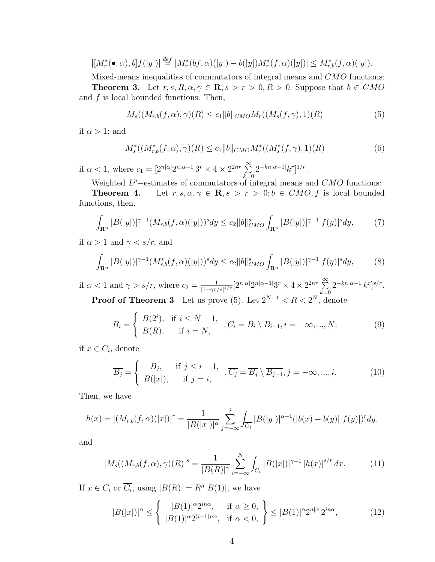$$
| [M_r^*(\bullet,\alpha),b] f(|y|) | \stackrel{def}{=} | M_r^*(bf,\alpha)(|y|) - b(|y|) M_r^*(f,\alpha)(|y|) | \le M_{r,b}^*(f,\alpha)(|y|).
$$

Mixed-means inequalities of commutators of integral means and CMO functions: **Theorem 3.** Let  $r, s, R, \alpha, \gamma \in \mathbb{R}, s > r > 0, R > 0$ . Suppose that  $b \in CMO$ and  $f$  is local bounded functions. Then,

$$
M_s((M_{r,b}(f,\alpha),\gamma)(R) \le c_1 \|b\|_{CMO} M_r((M_s(f,\gamma),1)(R) \tag{5}
$$

if  $\alpha > 1$ ; and

$$
M_s^*((M_{r,b}^*(f,\alpha),\gamma)(R) \le c_1 \|b\|_{CMO} M_r^*((M_s^*(f,\gamma),1)(R) \tag{6}
$$

if  $\alpha < 1$ , where  $c_1 = \left[2^{n|\alpha|}2^{n|\alpha-1|}3^r \times 4 \times 2^{2nr}\right]$  $_{k=0}$  $2^{-kn|\alpha-1|}k^r]^{1/r}.$ 

Weighted  $L^p$ -estimates of commutators of integral means and CMO functions:

**Theorem 4.** Let  $r, s, \alpha, \gamma \in \mathbb{R}, s > r > 0; b \in CMO, f$  is local bounded functions, then,

$$
\int_{\mathbf{R}^n} |B(|y|)|^{\gamma-1} (M_{r,b}(f,\alpha)(|y|))^s dy \le c_2 \|b\|_{CMO}^s \int_{\mathbf{R}^n} |B(|y|)|^{\gamma-1} |f(y)|^s dy,\tag{7}
$$

if  $\alpha > 1$  and  $\gamma < s/r$ , and

$$
\int_{\mathbf{R}^n} |B(|y|)|^{\gamma - 1} (M_{r,b}^*(f, \alpha)(|y|))^s dy \le c_2 \|b\|_{CMO}^s \int_{\mathbf{R}^n} |B(|y|)|^{\gamma - 1} |f(y)|^s dy,\tag{8}
$$

if  $\alpha < 1$  and  $\gamma > s/r$ , where  $c_2 = \frac{1}{11 - \gamma r}$ .  $\frac{1}{|1-\gamma r/s|^{s/r}}\left[2^{n|\alpha|}2^{n|\alpha-1|}3^r\times 4\times 2^{2nr}\sum_{k=0}^\infty\right]$  $_{k=0}$  $2^{-kn|\alpha-1|}k^r]^{s/r}.$ **Proof of Theorem 3** Let us prove (5). Let  $2^{N-1} < R < 2^N$ , denote

$$
B_i = \begin{cases} B(2^i), & \text{if } i \le N - 1, \\ B(R), & \text{if } i = N, \end{cases}, C_i = B_i \setminus B_{i-1}, i = -\infty, ..., N; \tag{9}
$$

if  $x \in C_i$ , denote

$$
\overline{B_j} = \begin{cases} B_j, & \text{if } j \leq i-1, \\ B(|x|), & \text{if } j = i, \end{cases}, \overline{C_j} = \overline{B_j} \setminus \overline{B_{j-1}}, j = -\infty, ..., i. \tag{10}
$$

Then, we have

$$
h(x) = [(M_{r,b}(f,\alpha)(|x|)]^r = \frac{1}{|B(|x|)|^{\alpha}} \sum_{j=-\infty}^{i} \int_{\overline{C_j}} |B(|y|)|^{\alpha-1} (|b(x)-b(y)||f(y)|)^r dy,
$$

and

$$
[M_s((M_{r,b}(f,\alpha),\gamma)(R)]^s = \frac{1}{|B(R)|^{\gamma}} \sum_{i=-\infty}^N \int_{C_i} |B(|x|)|^{\gamma-1} [h(x)]^{s/r} dx.
$$
 (11)

If  $x \in C_i$  or  $\overline{C_i}$ , using  $|B(R)| = R^n |B(1)|$ , we have

$$
|B(|x|)|^{\alpha} \le \left\{ \begin{array}{ll} |B(1)|^{\alpha} 2^{in\alpha}, & \text{if } \alpha \ge 0, \\ |B(1)|^{\alpha} 2^{(i-1)n\alpha}, & \text{if } \alpha < 0, \end{array} \right\} \le |B(1)|^{\alpha} 2^{n|\alpha|} 2^{in\alpha}, \tag{12}
$$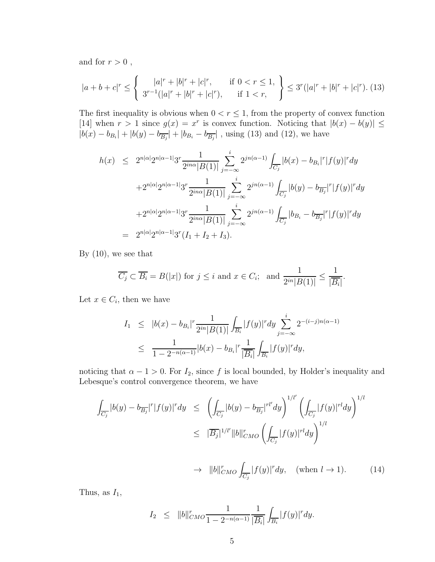and for  $r > 0$ ,

$$
|a+b+c|^r \le \left\{ \begin{array}{ll} |a|^r + |b|^r + |c|^r, & \text{if } 0 < r \le 1, \\ 3^{r-1}(|a|^r + |b|^r + |c|^r), & \text{if } 1 < r, \end{array} \right\} \le 3^r(|a|^r + |b|^r + |c|^r). \tag{13}
$$

The first inequality is obvious when  $0 < r \leq 1$ , from the property of convex function [14] when  $r > 1$  since  $g(x) = x^r$  is convex function. Noticing that  $|b(x) - b(y)| \le$  $|b(x) - b_{B_i}| + |b(y) - b_{\overline{B_j}}| + |b_{B_i} - b_{\overline{B_j}}|$ , using (13) and (12), we have

$$
h(x) \leq 2^{n|\alpha|} 2^{n|\alpha-1|} 3^r \frac{1}{2^{in\alpha}|B(1)|} \sum_{j=-\infty}^i 2^{jn(\alpha-1)} \int_{\overline{C_j}} |b(x) - b_{B_i}|^r |f(y)|^r dy
$$
  
+2<sup>n|\alpha|</sup> 2<sup>n|\alpha-1</sup> 3<sup>r</sup>  $\frac{1}{2^{in\alpha}|B(1)|} \sum_{j=-\infty}^i 2^{jn(\alpha-1)} \int_{\overline{C_j}} |b(y) - b_{\overline{B_j}}|^r |f(y)|^r dy$   
+2<sup>n|\alpha|</sup> 2<sup>n|\alpha-1</sup> 3<sup>r</sup>  $\frac{1}{2^{in\alpha}|B(1)|} \sum_{j=-\infty}^i 2^{jn(\alpha-1)} \int_{\overline{C_j}} |b_{B_i} - b_{\overline{B_j}}|^r |f(y)|^r dy$   
= 2<sup>n|\alpha|</sup> 2<sup>n|\alpha-1</sup> 3<sup>r</sup> (I<sub>1</sub> + I<sub>2</sub> + I<sub>3</sub>).

By  $(10)$ , we see that

$$
\overline{C_j} \subset \overline{B_i} = B(|x|) \text{ for } j \le i \text{ and } x \in C_i; \text{ and } \frac{1}{2^{in}|B(1)|} \le \frac{1}{|\overline{B_i}|}.
$$

Let  $x \in C_i$ , then we have

$$
I_1 \leq |b(x) - b_{B_i}|^r \frac{1}{2^{in} |B(1)|} \int_{\overline{B_i}} |f(y)|^r dy \sum_{j=-\infty}^i 2^{-(i-j)n(\alpha-1)}
$$
  

$$
\leq \frac{1}{1 - 2^{-n(\alpha-1)}} |b(x) - b_{B_i}|^r \frac{1}{|\overline{B_i}|} \int_{\overline{B_i}} |f(y)|^r dy,
$$

noticing that  $\alpha - 1 > 0$ . For  $I_2$ , since f is local bounded, by Holder's inequality and Lebesque's control convergence theorem, we have

$$
\int_{\overline{C_j}} |b(y) - b_{\overline{B_j}}|^r |f(y)|^r dy \le \left( \int_{\overline{C_j}} |b(y) - b_{\overline{B_j}}|^{r l'} dy \right)^{1/l'} \left( \int_{\overline{C_j}} |f(y)|^{r l} dy \right)^{1/l}
$$
\n
$$
\le |\overline{B_j}|^{1/l'} ||b||_{CMO}^r \left( \int_{\overline{C_j}} |f(y)|^{r l} dy \right)^{1/l}
$$
\n
$$
\to ||b||_{CMO}^r \int_{\overline{C_j}} |f(y)|^r dy, \quad \text{(when } l \to 1). \tag{14}
$$

Thus, as  $I_1$ ,

$$
I_2 \leq ||b||_{CMO}^r \frac{1}{1 - 2^{-n(\alpha - 1)}} \frac{1}{|\overline{B_i}|} \int_{\overline{B_i}} |f(y)|^r dy.
$$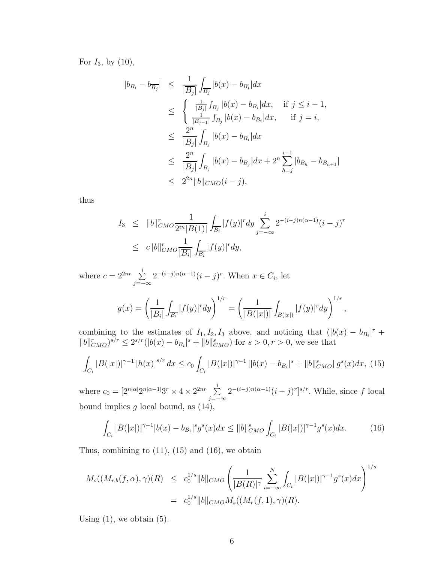For  $I_3$ , by  $(10)$ ,

$$
|b_{B_i} - b_{\overline{B_j}}| \leq \frac{1}{|\overline{B_j}|} \int_{\overline{B_j}} |b(x) - b_{B_i}| dx
$$
  
\n
$$
\leq \begin{cases} \frac{1}{|\overline{B_j}|} \int_{B_j} |b(x) - b_{B_i}| dx, & \text{if } j \leq i - 1, \\ \frac{1}{|\overline{B_j} - 1|} \int_{B_j} |b(x) - b_{B_i}| dx, & \text{if } j = i, \end{cases}
$$
  
\n
$$
\leq \frac{2^n}{|\overline{B_j}|} \int_{B_j} |b(x) - b_{B_i}| dx
$$
  
\n
$$
\leq \frac{2^n}{|\overline{B_j}|} \int_{B_j} |b(x) - b_{B_j}| dx + 2^n \sum_{h=j}^{i-1} |b_{B_h} - b_{B_{h+1}}|
$$
  
\n
$$
\leq 2^{2n} ||b||_{CMO}(i - j),
$$

thus

$$
I_3 \leq ||b||_{CMO}^r \frac{1}{2^{in}|B(1)|} \int_{\overline{B_i}} |f(y)|^r dy \sum_{j=-\infty}^i 2^{-(i-j)n(\alpha-1)} (i-j)^r
$$
  

$$
\leq c||b||_{CMO}^r \frac{1}{|\overline{B_i}|} \int_{\overline{B_i}} |f(y)|^r dy,
$$

where  $c = 2^{2nr} \sum_{i=1}^{n}$  $\sum_{j=-\infty}^{\infty} 2^{-(i-j)n(\alpha-1)}(i-j)^r$ . When  $x \in C_i$ , let

$$
g(x) = \left(\frac{1}{|\overline{B_i}|}\int_{\overline{B_i}} |f(y)|^r dy\right)^{1/r} = \left(\frac{1}{|B(|x|)|}\int_{B(|x|)} |f(y)|^r dy\right)^{1/r},\,
$$

combining to the estimates of  $I_1, I_2, I_3$  above, and noticing that  $(|b(x) - b_{B_i}|^r +$  $||b||_{CMO}^r$ )<sup>s/r</sup>  $\leq 2^{s/r} (|b(x) - b_{B_i}|^s + ||b||_{CMO}^s)$  for  $s > 0, r > 0$ , we see that

$$
\int_{C_i} |B(|x|)|^{\gamma-1} \left[h(x)\right]^{s/r} dx \le c_0 \int_{C_i} |B(|x|)|^{\gamma-1} \left[|b(x) - b_{B_i}|^s + \|b\|_{CMO}^s\right] g^s(x) dx, \tag{15}
$$

where  $c_0 = [2^{n|\alpha|} 2^{n|\alpha-1|} 3^r \times 4 \times 2^{2nr} \sum_{i=1}^{n}$  $\sum_{j=-\infty}^{\infty} 2^{-(i-j)n(\alpha-1)}(i-j)^r]^{s/r}$ . While, since f local bound implies  $g$  local bound, as  $(14)$ ,

$$
\int_{C_i} |B(|x|)|^{\gamma - 1} |b(x) - b_{B_i}|^s g^s(x) dx \le ||b||_{CMO}^s \int_{C_i} |B(|x|)|^{\gamma - 1} g^s(x) dx.
$$
 (16)

Thus, combining to  $(11)$ ,  $(15)$  and  $(16)$ , we obtain

$$
M_s((M_{r,b}(f,\alpha),\gamma)(R) \leq c_0^{1/s} ||b||_{CMO} \left( \frac{1}{|B(R)|^{\gamma}} \sum_{i=-\infty}^N \int_{C_i} |B(|x|)|^{\gamma-1} g^s(x) dx \right)^{1/s}
$$
  
=  $c_0^{1/s} ||b||_{CMO} M_s((M_r(f,1),\gamma)(R)).$ 

Using  $(1)$ , we obtain  $(5)$ .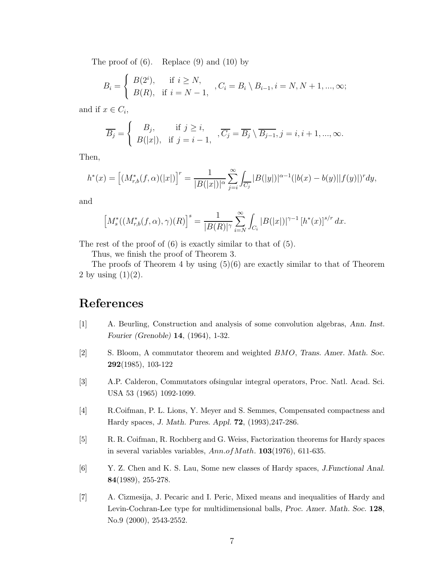The proof of  $(6)$ . Replace  $(9)$  and  $(10)$  by

$$
B_i = \begin{cases} B(2^i), & \text{if } i \ge N, \\ B(R), & \text{if } i = N - 1, \end{cases}, C_i = B_i \setminus B_{i-1}, i = N, N + 1, ..., \infty;
$$

and if  $x \in C_i$ ,

$$
\overline{B_j} = \begin{cases} B_j, & \text{if } j \ge i, \\ B(|x|), & \text{if } j = i - 1, \end{cases}, \overline{C_j} = \overline{B_j} \setminus \overline{B_{j-1}}, j = i, i + 1, ..., \infty.
$$

Then,

$$
h^*(x) = \left[ (M_{r,b}^*(f, \alpha)(|x|) \right]^r = \frac{1}{|B(|x|)|^\alpha} \sum_{j=i}^\infty \int_{\overline{C_j}} |B(|y|)|^{\alpha-1} (|b(x) - b(y)||f(y)|)^r dy,
$$

and

$$
\left[M_s^*((M_{r,b}^*(f,\alpha),\gamma)(R)\right]^s = \frac{1}{|B(R)|^{\gamma}} \sum_{i=N}^{\infty} \int_{C_i} |B(|x|)|^{\gamma-1} \left[h^*(x)\right]^{s/r} dx.
$$

The rest of the proof of  $(6)$  is exactly similar to that of  $(5)$ .

Thus, we finish the proof of Theorem 3.

The proofs of Theorem 4 by using  $(5)(6)$  are exactly similar to that of Theorem 2 by using  $(1)(2)$ .

## References

- [1] A. Beurling, Construction and analysis of some convolution algebras, Ann. Inst. Fourier (Grenoble) 14, (1964), 1-32.
- [2] S. Bloom, A commutator theorem and weighted BMO, Trans. Amer. Math. Soc. 292(1985), 103-122
- [3] A.P. Calderon, Commutators ofsingular integral operators, Proc. Natl. Acad. Sci. USA 53 (1965) 1092-1099.
- [4] R.Coifman, P. L. Lions, Y. Meyer and S. Semmes, Compensated compactness and Hardy spaces, J. Math. Pures. Appl. 72, (1993),247-286.
- [5] R. R. Coifman, R. Rochberg and G. Weiss, Factorization theorems for Hardy spaces in several variables variables,  $Ann.ofMath.$  **103**(1976), 611-635.
- [6] Y. Z. Chen and K. S. Lau, Some new classes of Hardy spaces, J.Functional Anal. 84(1989), 255-278.
- [7] A. Cizmesija, J. Pecaric and I. Peric, Mixed means and inequalities of Hardy and Levin-Cochran-Lee type for multidimensional balls, Proc. Amer. Math. Soc. 128, No.9 (2000), 2543-2552.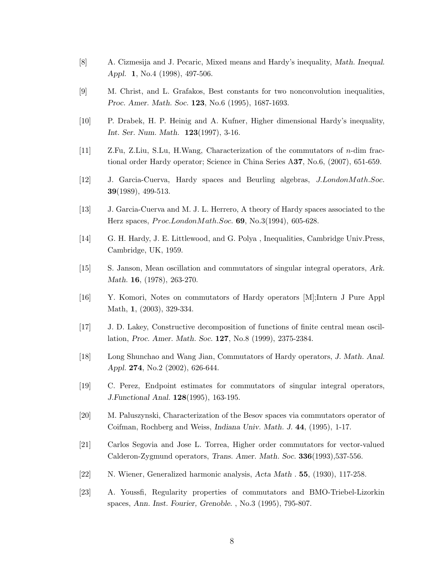- [8] A. Cizmesija and J. Pecaric, Mixed means and Hardy's inequality, Math. Inequal. Appl. 1, No.4 (1998), 497-506.
- [9] M. Christ, and L. Grafakos, Best constants for two nonconvolution inequalities, Proc. Amer. Math. Soc. 123, No.6 (1995), 1687-1693.
- [10] P. Drabek, H. P. Heinig and A. Kufner, Higher dimensional Hardy's inequality, Int. Ser. Num. Math. 123(1997), 3-16.
- [11] Z.Fu, Z.Liu, S.Lu, H.Wang, Characterization of the commutators of n-dim fractional order Hardy operator; Science in China Series A37, No.6, (2007), 651-659.
- [12] J. Garcia-Cuerva, Hardy spaces and Beurling algebras, J.LondonMath.Soc. 39(1989), 499-513.
- [13] J. Garcia-Cuerva and M. J. L. Herrero, A theory of Hardy spaces associated to the Herz spaces,  $Proc. London Math. Soc. 69, No. 3(1994), 605-628.$
- [14] G. H. Hardy, J. E. Littlewood, and G. Polya , Inequalities, Cambridge Univ.Press, Cambridge, UK, 1959.
- [15] S. Janson, Mean oscillation and commutators of singular integral operators, Ark. Math. 16, (1978), 263-270.
- [16] Y. Komori, Notes on commutators of Hardy operators [M];Intern J Pure Appl Math, 1, (2003), 329-334.
- [17] J. D. Lakey, Constructive decomposition of functions of finite central mean oscillation, Proc. Amer. Math. Soc. 127, No.8 (1999), 2375-2384.
- [18] Long Shunchao and Wang Jian, Commutators of Hardy operators, J. Math. Anal. Appl. 274, No.2 (2002), 626-644.
- [19] C. Perez, Endpoint estimates for commutators of singular integral operators, J.Functional Anal. 128(1995), 163-195.
- [20] M. Paluszynski, Characterization of the Besov spaces via commutators operator of Coifman, Rochberg and Weiss, Indiana Univ. Math. J. 44, (1995), 1-17.
- [21] Carlos Segovia and Jose L. Torrea, Higher order commutators for vector-valued Calderon-Zygmund operators, Trans. Amer. Math. Soc. 336(1993),537-556.
- [22] N. Wiener, Generalized harmonic analysis, Acta Math . 55, (1930), 117-258.
- [23] A. Youssfi, Regularity properties of commutators and BMO-Triebel-Lizorkin spaces, Ann. Inst. Fourier, Grenoble. , No.3 (1995), 795-807.